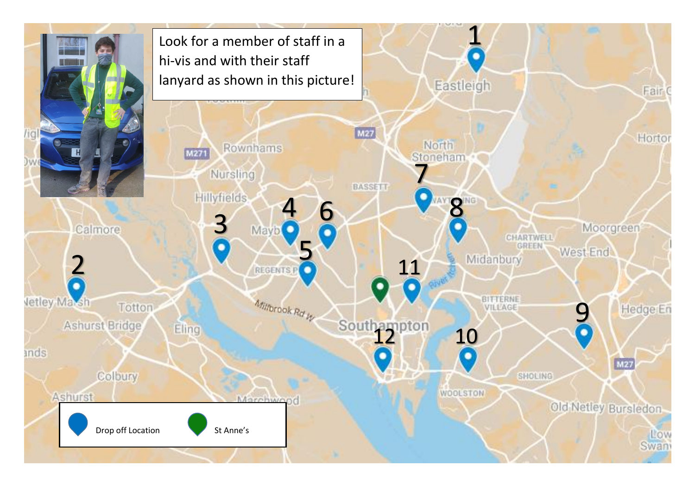